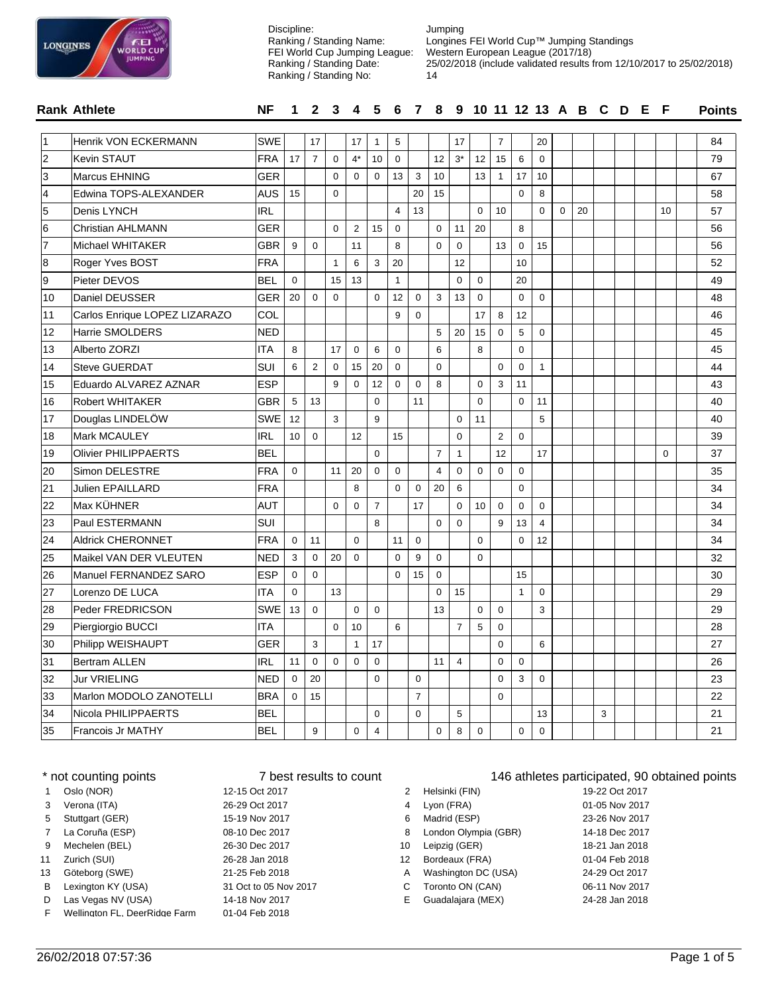

Jumping Longines FEI World Cup™ Jumping Standings Western European League (2017/18) 25/02/2018 (include validated results from 12/10/2017 to 25/02/2018) FEI World Cup Jumping League:

|                | <b>Rank Athlete</b>           | <b>NF</b>  |                |                |              |                  |                |                |                |                |                | 1 2 3 4 5 6 7 8 9 10 11 12 13 A B C D E F |                |                |                |             |    |   |  |          | <b>Points</b> |
|----------------|-------------------------------|------------|----------------|----------------|--------------|------------------|----------------|----------------|----------------|----------------|----------------|-------------------------------------------|----------------|----------------|----------------|-------------|----|---|--|----------|---------------|
|                | Henrik VON ECKERMANN          | <b>SWE</b> |                | 17             |              | 17               | $\mathbf{1}$   | 5              |                |                | 17             |                                           | $\overline{7}$ |                | 20             |             |    |   |  |          | 84            |
| $\overline{2}$ | Kevin STAUT                   | FRA        | 17             | $\overline{7}$ | $\mathbf 0$  | $4*$             | 10             | $\mathbf 0$    |                | 12             | $3*$           | 12 <sup>2</sup>                           | 15             | 6              | $\Omega$       |             |    |   |  |          | 79            |
| 3              | Marcus EHNING                 | <b>GER</b> |                |                | $\Omega$     | $\Omega$         | $\Omega$       | 13             | 3              | 10             |                | 13                                        | $\overline{1}$ | 17             | 10             |             |    |   |  |          | 67            |
| 4              | Edwina TOPS-ALEXANDER         | <b>AUS</b> | 15             |                | $\mathbf 0$  |                  |                |                | 20             | 15             |                |                                           |                | $\mathbf 0$    | 8              |             |    |   |  |          | 58            |
| 5              | Denis LYNCH                   | <b>IRL</b> |                |                |              |                  |                | $\overline{4}$ | 13             |                |                | $\Omega$                                  | 10             |                | $\mathbf 0$    | $\mathbf 0$ | 20 |   |  | 10       | 57            |
| 6              | <b>Christian AHLMANN</b>      | <b>GER</b> |                |                | $\Omega$     | $\overline{2}$   | 15             | $\mathbf 0$    |                | $\mathbf 0$    | 11             | 20                                        |                | 8              |                |             |    |   |  |          | 56            |
| 7              | Michael WHITAKER              | <b>GBR</b> | 9              | $\mathbf 0$    |              | 11               |                | 8              |                | $\mathbf 0$    | $\mathbf 0$    |                                           | 13             | $\mathbf 0$    | 15             |             |    |   |  |          | 56            |
| 8              | Roger Yves BOST               | <b>FRA</b> |                |                | $\mathbf{1}$ | 6                | 3              | 20             |                |                | 12             |                                           |                | 10             |                |             |    |   |  |          | 52            |
| 9              | Pieter DEVOS                  | <b>BEL</b> | $\Omega$       |                | 15           | 13               |                | 1              |                |                | $\Omega$       | $\Omega$                                  |                | 20             |                |             |    |   |  |          | 49            |
| 10             | Daniel DEUSSER                | <b>GER</b> | 20             | $\mathbf 0$    | $\mathbf 0$  |                  | $\mathbf 0$    | 12             | $\mathbf 0$    | 3              | 13             | 0                                         |                | $\mathbf 0$    | $\mathbf 0$    |             |    |   |  |          | 48            |
| 11             | Carlos Enrique LOPEZ LIZARAZO | COL        |                |                |              |                  |                | 9              | $\mathbf 0$    |                |                | 17                                        | 8              | 12             |                |             |    |   |  |          | 46            |
| 12             | Harrie SMOLDERS               | <b>NED</b> |                |                |              |                  |                |                |                | 5              | 20             | 15                                        | $\mathbf 0$    | $\overline{5}$ | $\mathbf 0$    |             |    |   |  |          | 45            |
| 13             | Alberto ZORZI                 | <b>ITA</b> | 8              |                | 17           | $\boldsymbol{0}$ | 6              | $\mathbf 0$    |                | $\,6$          |                | 8                                         |                | $\mathbf 0$    |                |             |    |   |  |          | 45            |
| 14             | <b>Steve GUERDAT</b>          | SUI        | 6              | 2              | $\mathbf 0$  | 15               | 20             | $\mathbf 0$    |                | $\mathbf 0$    |                |                                           | $\mathbf 0$    | $\mathbf 0$    | $\mathbf{1}$   |             |    |   |  |          | 44            |
| 15             | Eduardo ALVAREZ AZNAR         | ESP        |                |                | 9            | $\mathbf 0$      | 12             | $\mathbf 0$    | $\mathbf 0$    | 8              |                | 0                                         | 3              | 11             |                |             |    |   |  |          | 43            |
| 16             | <b>Robert WHITAKER</b>        | <b>GBR</b> | 5              | 13             |              |                  | $\Omega$       |                | 11             |                |                | $\Omega$                                  |                | $\Omega$       | 11             |             |    |   |  |          | 40            |
| 17             | Douglas LINDELÖW              | <b>SWE</b> | 12             |                | 3            |                  | 9              |                |                |                | $\mathbf 0$    | 11                                        |                |                | 5              |             |    |   |  |          | 40            |
| 18             | Mark MCAULEY                  | <b>IRL</b> | 10             | $\mathbf 0$    |              | 12               |                | 15             |                |                | $\mathbf 0$    |                                           | $\overline{2}$ | $\Omega$       |                |             |    |   |  |          | 39            |
| 19             | <b>Olivier PHILIPPAERTS</b>   | <b>BEL</b> |                |                |              |                  | $\Omega$       |                |                | $\overline{7}$ | $\mathbf{1}$   |                                           | 12             |                | 17             |             |    |   |  | $\Omega$ | 37            |
| 20             | Simon DELESTRE                | <b>FRA</b> | $\mathbf 0$    |                | 11           | 20               | $\mathbf 0$    | $\mathbf 0$    |                | $\overline{4}$ | $\mathbf 0$    | 0                                         | $\mathbf 0$    | $\mathbf 0$    |                |             |    |   |  |          | 35            |
| 21             | <b>Julien EPAILLARD</b>       | <b>FRA</b> |                |                |              | 8                |                | $\mathbf 0$    | $\mathbf 0$    | 20             | 6              |                                           |                | $\mathbf 0$    |                |             |    |   |  |          | 34            |
| 22             | Max KÜHNER                    | <b>AUT</b> |                |                | $\mathbf{0}$ | $\mathbf 0$      | $\overline{7}$ |                | 17             |                | $\Omega$       | 10                                        | $\mathbf 0$    | $\mathbf 0$    | $\mathbf 0$    |             |    |   |  |          | 34            |
| 23             | Paul ESTERMANN                | <b>SUI</b> |                |                |              |                  | 8              |                |                | $\mathbf 0$    | $\mathbf 0$    |                                           | 9              | 13             | $\overline{4}$ |             |    |   |  |          | 34            |
| 24             | <b>Aldrick CHERONNET</b>      | <b>FRA</b> | $\mathbf 0$    | 11             |              | $\mathbf 0$      |                | 11             | $\mathbf 0$    |                |                | $\Omega$                                  |                | $\mathbf 0$    | 12             |             |    |   |  |          | 34            |
| 25             | Maikel VAN DER VLEUTEN        | <b>NED</b> | 3              | $\mathbf 0$    | 20           | $\mathbf 0$      |                | $\mathbf 0$    | 9              | $\Omega$       |                | $\Omega$                                  |                |                |                |             |    |   |  |          | 32            |
| 26             | Manuel FERNANDEZ SARO         | <b>ESP</b> | $\mathbf 0$    | $\mathbf 0$    |              |                  |                | $\mathbf 0$    | 15             | $\mathbf 0$    |                |                                           |                | 15             |                |             |    |   |  |          | 30            |
| 27             | Lorenzo DE LUCA               | <b>ITA</b> | $\mathbf 0$    |                | 13           |                  |                |                |                | $\mathbf 0$    | 15             |                                           |                | $\mathbf{1}$   | 0              |             |    |   |  |          | 29            |
| 28             | Peder FREDRICSON              | <b>SWE</b> | 13             | $\Omega$       |              | $\mathbf 0$      | $\mathbf 0$    |                |                | 13             |                | $\mathbf 0$                               | $\mathbf 0$    |                | 3              |             |    |   |  |          | 29            |
| 29             | Piergiorgio BUCCI             | ITA        |                |                | $\mathbf 0$  | 10               |                | 6              |                |                | $\overline{7}$ | 5                                         | $\mathbf 0$    |                |                |             |    |   |  |          | 28            |
| 30             | Philipp WEISHAUPT             | <b>GER</b> |                | 3              |              | $\mathbf{1}$     | 17             |                |                |                |                |                                           | $\mathbf 0$    |                | 6              |             |    |   |  |          | 27            |
| 31             | <b>Bertram ALLEN</b>          | <b>IRL</b> | 11             | $\Omega$       | $\Omega$     | $\mathbf 0$      | $\Omega$       |                |                | 11             | $\overline{4}$ |                                           | $\Omega$       | $\Omega$       |                |             |    |   |  |          | 26            |
| 32             | Jur VRIELING                  | <b>NED</b> | $\Omega$       | 20             |              |                  | $\Omega$       |                | $\Omega$       |                |                |                                           | $\Omega$       | 3              | $\Omega$       |             |    |   |  |          | 23            |
| 33             | Marlon MODOLO ZANOTELLI       | <b>BRA</b> | $\overline{0}$ | 15             |              |                  |                |                | $\overline{7}$ |                |                |                                           | $\mathbf 0$    |                |                |             |    |   |  |          | 22            |
| 34             | Nicola PHILIPPAERTS           | <b>BEL</b> |                |                |              |                  | $\mathbf 0$    |                | $\Omega$       |                | 5              |                                           |                |                | 13             |             |    | 3 |  |          | 21            |
| 35             | Francois Jr MATHY             | <b>BEL</b> |                | 9              |              | $\mathbf 0$      | 4              |                |                | 0              | 8              | $\Omega$                                  |                | $\Omega$       | 0              |             |    |   |  |          | 21            |

Discipline:

Ranking / Standing Name:

Ranking / Standing Date: Ranking / Standing No:

|              | * not counting points         | 7 best results to count |    |                      | 146 athletes participated, 90 |
|--------------|-------------------------------|-------------------------|----|----------------------|-------------------------------|
| $\mathbf{1}$ | Oslo (NOR)                    | 12-15 Oct 2017          | 2  | Helsinki (FIN)       | 19-22 Oct 2017                |
| 3            | Verona (ITA)                  | 26-29 Oct 2017          | 4  | Lyon (FRA)           | 01-05 Nov 2017                |
| 5            | Stuttgart (GER)               | 15-19 Nov 2017          | 6  | Madrid (ESP)         | 23-26 Nov 2017                |
| $7^{\circ}$  | La Coruña (ESP)               | 08-10 Dec 2017          | 8  | London Olympia (GBR) | 14-18 Dec 2017                |
| 9            | Mechelen (BEL)                | 26-30 Dec 2017          | 10 | Leipzig (GER)        | 18-21 Jan 2018                |
| 11           | Zurich (SUI)                  | 26-28 Jan 2018          | 12 | Bordeaux (FRA)       | 01-04 Feb 2018                |
| 13           | Göteborg (SWE)                | 21-25 Feb 2018          | А  | Washington DC (USA)  | 24-29 Oct 2017                |
| B            | Lexington KY (USA)            | 31 Oct to 05 Nov 2017   | C  | Toronto ON (CAN)     | 06-11 Nov 2017                |
| D            | Las Vegas NV (USA)            | 14-18 Nov 2017          | Е. | Guadalajara (MEX)    | 24-28 Jan 2018                |
| F.           | Wellington FL, DeerRidge Farm | 01-04 Feb 2018          |    |                      |                               |

### ant counting points 146 athletes participated, 90 obtained points

| $\mathbf{2}^{\circ}$ | Helsinki (FIN)       | 19-22 Oct 2017 |
|----------------------|----------------------|----------------|
| 4                    | Lyon (FRA)           | 01-05 Nov 2017 |
| 6                    | Madrid (ESP)         | 23-26 Nov 2017 |
| 8                    | London Olympia (GBR) | 14-18 Dec 2017 |
| 0                    | Leipzig (GER)        | 18-21 Jan 2018 |
| $\mathbf{2}$         | Bordeaux (FRA)       | 01-04 Feb 2018 |
| A                    | Washington DC (USA)  | 24-29 Oct 2017 |
|                      | C Toronto ON (CAN)   | 06-11 Nov 2017 |
| E.                   | Guadalajara (MEX)    | 24-28 Jan 2018 |
|                      |                      |                |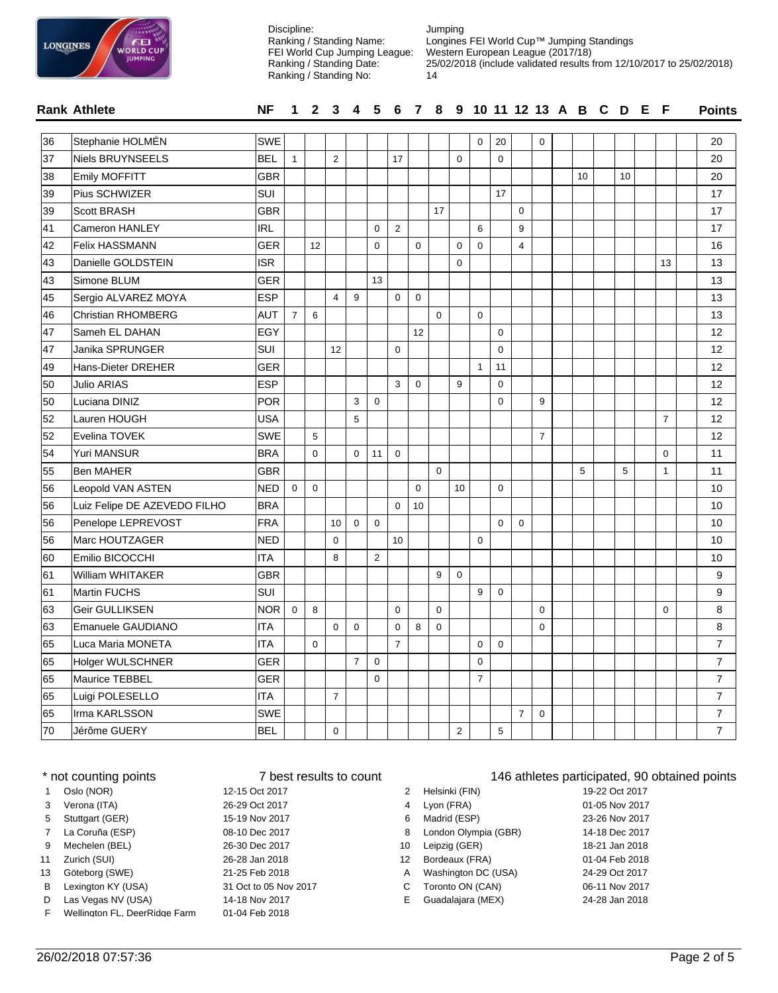

| <b>LONGINES</b> | ÆЕ<br><b>WORLD CUP</b><br><b>JUMPING</b> |            | Discipline: |                | Ranking / Standing Name:<br>FEI World Cup Jumping League:<br>Ranking / Standing Date:<br>Ranking / Standing No: |        |        | Jumping<br>14 |          | Longines FEI World Cup™ Jumping Standings<br>Western European League (2017/18) |          |        |   |    |    |  | 25/02/2018 (include validated results from 12/10/2017 to 25/02/2018) |
|-----------------|------------------------------------------|------------|-------------|----------------|-----------------------------------------------------------------------------------------------------------------|--------|--------|---------------|----------|--------------------------------------------------------------------------------|----------|--------|---|----|----|--|----------------------------------------------------------------------|
|                 | Rank Athlete                             | NF.        |             |                |                                                                                                                 |        |        |               |          | 1 2 3 4 5 6 7 8 9 10 11 12 13 A B C D E F                                      |          |        |   |    |    |  | <b>Points</b>                                                        |
|                 |                                          |            |             |                |                                                                                                                 |        |        |               |          |                                                                                |          |        |   |    |    |  |                                                                      |
| 36              | Stephanie HOLMÉN                         | <b>SWE</b> |             |                |                                                                                                                 |        |        |               |          | $\Omega$                                                                       | 20       |        | 0 |    |    |  | 20                                                                   |
| 37              | Niels BRUYNSEELS                         | <b>BEL</b> |             | $\overline{2}$ |                                                                                                                 |        | 17     |               | $\Omega$ |                                                                                | $\Omega$ |        |   |    |    |  | 20                                                                   |
| 38              | <b>Emily MOFFITT</b>                     | <b>GBR</b> |             |                |                                                                                                                 |        |        |               |          |                                                                                |          |        |   | 10 | 10 |  | 20                                                                   |
| 39              | <b>Pius SCHWIZER</b>                     | ISUI       |             |                |                                                                                                                 |        |        |               |          |                                                                                | 17       |        |   |    |    |  | 17                                                                   |
| 39              | <b>Scott BRASH</b>                       | <b>GBR</b> |             |                |                                                                                                                 |        |        | 17            |          |                                                                                |          | 0      |   |    |    |  | 17                                                                   |
| <b>A</b>        | $\bigcap$ ITANIEM                        | limi.      |             |                |                                                                                                                 | $\sim$ | $\sim$ |               |          | $\sim$                                                                         |          | $\sim$ |   |    |    |  | $\rightarrow$                                                        |

| 39 | <b>Scott BRASH</b>           | <b>GBR</b> |                |             |                |                |                |                |             | 17          |             |                |             | $\mathbf 0$    |                |   |   |                | 17             |
|----|------------------------------|------------|----------------|-------------|----------------|----------------|----------------|----------------|-------------|-------------|-------------|----------------|-------------|----------------|----------------|---|---|----------------|----------------|
| 41 | Cameron HANLEY               | <b>IRL</b> |                |             |                |                | $\mathbf 0$    | $\overline{2}$ |             |             |             | 6              |             | 9              |                |   |   |                | 17             |
| 42 | Felix HASSMANN               | <b>GER</b> |                | 12          |                |                | $\mathbf 0$    |                | $\mathbf 0$ |             | $\mathbf 0$ | $\mathbf 0$    |             | $\overline{4}$ |                |   |   |                | 16             |
| 43 | Danielle GOLDSTEIN           | <b>ISR</b> |                |             |                |                |                |                |             |             | $\mathbf 0$ |                |             |                |                |   |   | 13             | 13             |
| 43 | Simone BLUM                  | <b>GER</b> |                |             |                |                | 13             |                |             |             |             |                |             |                |                |   |   |                | 13             |
| 45 | Sergio ALVAREZ MOYA          | <b>ESP</b> |                |             | 4              | 9              |                | 0              | $\mathbf 0$ |             |             |                |             |                |                |   |   |                | 13             |
| 46 | Christian RHOMBERG           | AUT        | $\overline{7}$ | 6           |                |                |                |                |             | $\Omega$    |             | 0              |             |                |                |   |   |                | 13             |
| 47 | Sameh EL DAHAN               | EGY        |                |             |                |                |                |                | 12          |             |             |                | $\Omega$    |                |                |   |   |                | 12             |
| 47 | Janika SPRUNGER              | SUI        |                |             | 12             |                |                | $\mathbf 0$    |             |             |             |                | $\mathbf 0$ |                |                |   |   |                | 12             |
| 49 | Hans-Dieter DREHER           | <b>GER</b> |                |             |                |                |                |                |             |             |             | $\mathbf{1}$   | 11          |                |                |   |   |                | 12             |
| 50 | <b>Julio ARIAS</b>           | <b>ESP</b> |                |             |                |                |                | 3              | $\mathbf 0$ |             | 9           |                | $\Omega$    |                |                |   |   |                | 12             |
| 50 | Luciana DINIZ                | <b>POR</b> |                |             |                | 3              | $\Omega$       |                |             |             |             |                | $\Omega$    |                | 9              |   |   |                | 12             |
| 52 | Lauren HOUGH                 | USA        |                |             |                | 5              |                |                |             |             |             |                |             |                |                |   |   | $\overline{7}$ | 12             |
| 52 | Evelina TOVEK                | <b>SWE</b> |                | 5           |                |                |                |                |             |             |             |                |             |                | $\overline{7}$ |   |   |                | 12             |
| 54 | <b>Yuri MANSUR</b>           | <b>BRA</b> |                | $\Omega$    |                | $\Omega$       | 11             | $\mathbf 0$    |             |             |             |                |             |                |                |   |   | $\Omega$       | 11             |
| 55 | Ben MAHER                    | <b>GBR</b> |                |             |                |                |                |                |             | $\mathbf 0$ |             |                |             |                |                | 5 | 5 | $\mathbf{1}$   | 11             |
| 56 | Leopold VAN ASTEN            | <b>NED</b> | $\mathbf 0$    | $\mathbf 0$ |                |                |                |                | $\Omega$    |             | 10          |                | $\mathbf 0$ |                |                |   |   |                | 10             |
| 56 | Luiz Felipe DE AZEVEDO FILHO | <b>BRA</b> |                |             |                |                |                | $\mathbf 0$    | 10          |             |             |                |             |                |                |   |   |                | 10             |
| 56 | Penelope LEPREVOST           | FRA        |                |             | 10             | $\Omega$       | $\mathbf 0$    |                |             |             |             |                | $\Omega$    | $\Omega$       |                |   |   |                | 10             |
| 56 | Marc HOUTZAGER               | <b>NED</b> |                |             | $\mathbf 0$    |                |                | 10             |             |             |             | $\mathbf 0$    |             |                |                |   |   |                | 10             |
| 60 | Emilio BICOCCHI              | <b>ITA</b> |                |             | 8              |                | $\overline{2}$ |                |             |             |             |                |             |                |                |   |   |                | 10             |
| 61 | William WHITAKER             | <b>GBR</b> |                |             |                |                |                |                |             | 9           | $\mathbf 0$ |                |             |                |                |   |   |                | 9              |
| 61 | Martin FUCHS                 | SUI        |                |             |                |                |                |                |             |             |             | 9              | $\mathbf 0$ |                |                |   |   |                | 9              |
| 63 | Geir GULLIKSEN               | <b>NOR</b> | $\mathbf 0$    | 8           |                |                |                | $\mathbf 0$    |             | $\Omega$    |             |                |             |                | $\Omega$       |   |   | $\mathbf 0$    | 8              |
| 63 | Emanuele GAUDIANO            | <b>ITA</b> |                |             | $\Omega$       | $\Omega$       |                | $\mathbf 0$    | 8           | $\mathbf 0$ |             |                |             |                | $\Omega$       |   |   |                | 8              |
| 65 | Luca Maria MONETA            | <b>ITA</b> |                | $\mathbf 0$ |                |                |                | $\overline{7}$ |             |             |             | $\mathbf 0$    | $\mathbf 0$ |                |                |   |   |                | $\overline{7}$ |
| 65 | Holger WULSCHNER             | <b>GER</b> |                |             |                | $\overline{7}$ | $\mathbf 0$    |                |             |             |             | $\mathbf 0$    |             |                |                |   |   |                | $\overline{7}$ |
| 65 | Maurice TEBBEL               | <b>GER</b> |                |             |                |                | $\mathbf 0$    |                |             |             |             | $\overline{7}$ |             |                |                |   |   |                | $\overline{7}$ |
| 65 | Luigi POLESELLO              | <b>ITA</b> |                |             | $\overline{7}$ |                |                |                |             |             |             |                |             |                |                |   |   |                | $\overline{7}$ |
| 65 | Irma KARLSSON                | <b>SWE</b> |                |             |                |                |                |                |             |             |             |                |             | $\overline{7}$ | $\mathbf 0$    |   |   |                | $\overline{7}$ |
| 70 | Jérôme GUERY                 | <b>BEL</b> |                |             | $\mathbf 0$    |                |                |                |             |             | 2           |                | 5           |                |                |   |   |                | $\overline{7}$ |

|              | * not counting points         |                       | 146 athletes participated, 90<br>7 best results to count |                      |                |  |  |
|--------------|-------------------------------|-----------------------|----------------------------------------------------------|----------------------|----------------|--|--|
| $\mathbf{1}$ | Oslo (NOR)                    | 12-15 Oct 2017        |                                                          | Helsinki (FIN)       | 19-22 Oct 2017 |  |  |
| 3            | Verona (ITA)                  | 26-29 Oct 2017        | 4                                                        | Lyon (FRA)           | 01-05 Nov 2017 |  |  |
| 5            | Stuttgart (GER)               | 15-19 Nov 2017        | 6                                                        | Madrid (ESP)         | 23-26 Nov 2017 |  |  |
| $7^{\circ}$  | La Coruña (ESP)               | 08-10 Dec 2017        | 8                                                        | London Olympia (GBR) | 14-18 Dec 2017 |  |  |
| 9            | Mechelen (BEL)                | 26-30 Dec 2017        | 10                                                       | Leipzig (GER)        | 18-21 Jan 2018 |  |  |
| 11           | Zurich (SUI)                  | 26-28 Jan 2018        | 12                                                       | Bordeaux (FRA)       | 01-04 Feb 2018 |  |  |
| 13           | Göteborg (SWE)                | 21-25 Feb 2018        | A                                                        | Washington DC (USA)  | 24-29 Oct 2017 |  |  |
| B            | Lexington KY (USA)            | 31 Oct to 05 Nov 2017 | C.                                                       | Toronto ON (CAN)     | 06-11 Nov 2017 |  |  |
| D            | Las Vegas NV (USA)            | 14-18 Nov 2017        | E.                                                       | Guadalajara (MEX)    | 24-28 Jan 2018 |  |  |
| F            | Wellington FL, DeerRidge Farm | 01-04 Feb 2018        |                                                          |                      |                |  |  |

# 146 athletes participated, 90 obtained points

| 2 | Helsinki (FIN)       | 19-22 Oct 2017 |
|---|----------------------|----------------|
| 4 | Lyon (FRA)           | 01-05 Nov 2017 |
| 6 | Madrid (ESP)         | 23-26 Nov 2017 |
| 8 | London Olympia (GBR) | 14-18 Dec 2017 |
| 0 | Leipzig (GER)        | 18-21 Jan 2018 |
| 2 | Bordeaux (FRA)       | 01-04 Feb 2018 |
| A | Washington DC (USA)  | 24-29 Oct 2017 |
| C | Toronto ON (CAN)     | 06-11 Nov 2017 |
| E | Guadalaiara (MEX)    | 24-28 Jan 2018 |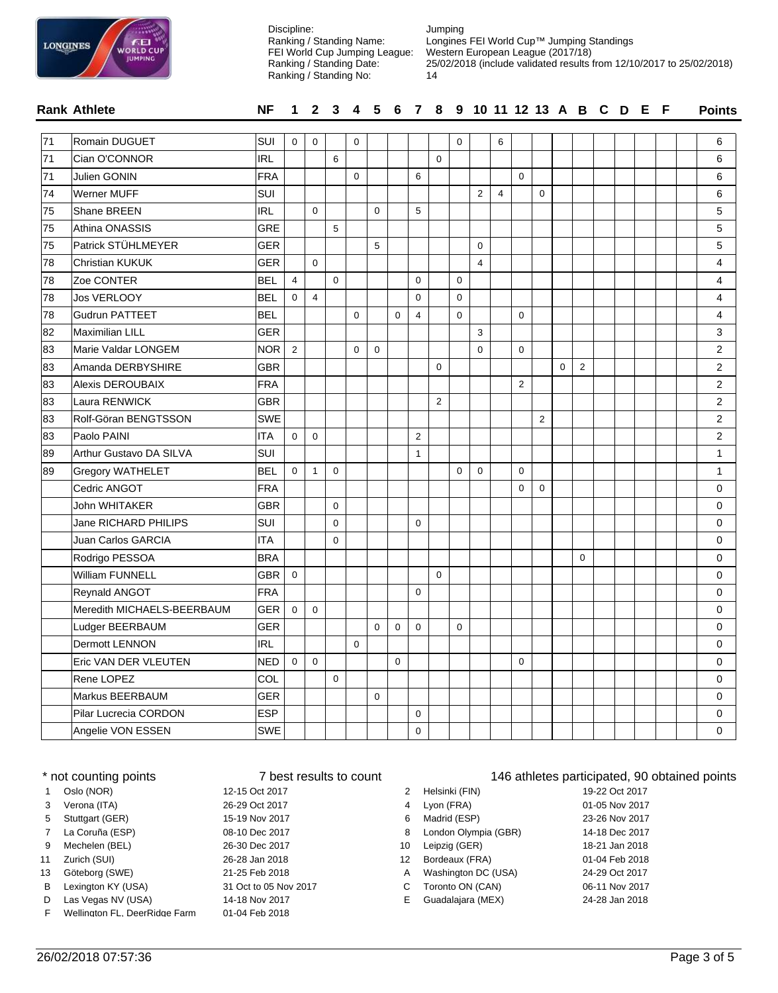

**Rank Athlete NF** Jumping Longines FEI World Cup™ Jumping Standings Western European League (2017/18) 25/02/2018 (include validated results from 12/10/2017 to 25/02/2018) 14 **Points** Discipline: Ranking / Standing Name: FEI World Cup Jumping League: Ranking / Standing Date: Ranking / Standing No: **1 2 3 4 5 6 7 8 9 10 11 12 13 A B C D E F**

| $\overline{71}$ | Romain DUGUET              | SUI        | $\mathbf 0$    | $\mathbf 0$    |             | $\mathbf 0$  |             |             |                |                | $\mathbf 0$ |                | 6              |                |                |          |                |  |  | 6              |
|-----------------|----------------------------|------------|----------------|----------------|-------------|--------------|-------------|-------------|----------------|----------------|-------------|----------------|----------------|----------------|----------------|----------|----------------|--|--|----------------|
| $\overline{71}$ | Cian O'CONNOR              | <b>IRL</b> |                |                | 6           |              |             |             |                | $\Omega$       |             |                |                |                |                |          |                |  |  | 6              |
| 71              | <b>Julien GONIN</b>        | <b>FRA</b> |                |                |             | $\mathbf{0}$ |             |             | 6              |                |             |                |                | $\mathbf 0$    |                |          |                |  |  | 6              |
| 74              | Werner MUFF                | <b>SUI</b> |                |                |             |              |             |             |                |                |             | $\overline{2}$ | $\overline{4}$ |                | $\mathbf 0$    |          |                |  |  | 6              |
| 75              | Shane BREEN                | IRL        |                | $\Omega$       |             |              | $\Omega$    |             | 5              |                |             |                |                |                |                |          |                |  |  | 5              |
| 75              | Athina ONASSIS             | <b>GRE</b> |                |                | 5           |              |             |             |                |                |             |                |                |                |                |          |                |  |  | 5              |
| 75              | Patrick STÜHLMEYER         | <b>GER</b> |                |                |             |              | 5           |             |                |                |             | $\mathbf 0$    |                |                |                |          |                |  |  | 5              |
| 78              | Christian KUKUK            | <b>GER</b> |                | $\Omega$       |             |              |             |             |                |                |             | $\overline{4}$ |                |                |                |          |                |  |  | 4              |
| 78              | Zoe CONTER                 | <b>BEL</b> | $\overline{4}$ |                | $\mathbf 0$ |              |             |             | $\Omega$       |                | $\mathbf 0$ |                |                |                |                |          |                |  |  | 4              |
| 78              | Jos VERLOOY                | BEL        | $\mathbf 0$    | $\overline{4}$ |             |              |             |             | $\mathbf 0$    |                | $\mathbf 0$ |                |                |                |                |          |                |  |  | 4              |
| 78              | <b>Gudrun PATTEET</b>      | <b>BEL</b> |                |                |             | 0            |             | $\mathbf 0$ | 4              |                | $\pmb{0}$   |                |                | $\mathsf 0$    |                |          |                |  |  | 4              |
| 82              | <b>Maximilian LILL</b>     | <b>GER</b> |                |                |             |              |             |             |                |                |             | 3              |                |                |                |          |                |  |  | 3              |
| 83              | Marie Valdar LONGEM        | <b>NOR</b> | $\overline{2}$ |                |             | $\mathbf 0$  | $\mathbf 0$ |             |                |                |             | 0              |                | $\mathbf 0$    |                |          |                |  |  | 2              |
| 83              | Amanda DERBYSHIRE          | <b>GBR</b> |                |                |             |              |             |             |                | $\Omega$       |             |                |                |                |                | $\Omega$ | $\overline{2}$ |  |  | $\overline{c}$ |
| 83              | <b>Alexis DEROUBAIX</b>    | <b>FRA</b> |                |                |             |              |             |             |                |                |             |                |                | $\overline{2}$ |                |          |                |  |  | $\overline{2}$ |
| 83              | Laura RENWICK              | <b>GBR</b> |                |                |             |              |             |             |                | $\overline{2}$ |             |                |                |                |                |          |                |  |  | $\overline{2}$ |
| 83              | Rolf-Göran BENGTSSON       | <b>SWE</b> |                |                |             |              |             |             |                |                |             |                |                |                | $\overline{2}$ |          |                |  |  | $\overline{c}$ |
| 83              | Paolo PAINI                | ITA        | $\mathbf 0$    | $\mathbf 0$    |             |              |             |             | $\overline{2}$ |                |             |                |                |                |                |          |                |  |  | $\overline{2}$ |
| 89              | Arthur Gustavo DA SILVA    | SUI        |                |                |             |              |             |             | $\mathbf{1}$   |                |             |                |                |                |                |          |                |  |  | $\mathbf{1}$   |
| 89              | <b>Gregory WATHELET</b>    | <b>BEL</b> | $\mathbf 0$    | $\mathbf{1}$   | $\mathbf 0$ |              |             |             |                |                | $\mathbf 0$ | $\mathbf 0$    |                | $\mathbf 0$    |                |          |                |  |  | 1              |
|                 | Cedric ANGOT               | <b>FRA</b> |                |                |             |              |             |             |                |                |             |                |                | $\Omega$       | $\mathbf 0$    |          |                |  |  | $\mathbf 0$    |
|                 | <b>John WHITAKER</b>       | <b>GBR</b> |                |                | $\mathbf 0$ |              |             |             |                |                |             |                |                |                |                |          |                |  |  | $\mathbf 0$    |
|                 | Jane RICHARD PHILIPS       | SUI        |                |                | $\mathbf 0$ |              |             |             | $\mathbf 0$    |                |             |                |                |                |                |          |                |  |  | $\mathbf 0$    |
|                 | Juan Carlos GARCIA         | <b>ITA</b> |                |                | $\mathbf 0$ |              |             |             |                |                |             |                |                |                |                |          |                |  |  | 0              |
|                 | Rodrigo PESSOA             | <b>BRA</b> |                |                |             |              |             |             |                |                |             |                |                |                |                |          | $\mathbf 0$    |  |  | $\mathbf 0$    |
|                 | <b>William FUNNELL</b>     | <b>GBR</b> | $\mathbf 0$    |                |             |              |             |             |                | $\mathbf 0$    |             |                |                |                |                |          |                |  |  | $\mathbf 0$    |
|                 | <b>Reynald ANGOT</b>       | <b>FRA</b> |                |                |             |              |             |             | $\Omega$       |                |             |                |                |                |                |          |                |  |  | $\Omega$       |
|                 | Meredith MICHAELS-BEERBAUM | <b>GER</b> | $\mathbf 0$    | $\mathbf 0$    |             |              |             |             |                |                |             |                |                |                |                |          |                |  |  | 0              |
|                 | Ludger BEERBAUM            | <b>GER</b> |                |                |             |              | $\mathbf 0$ | $\mathbf 0$ | $\mathbf 0$    |                | $\mathbf 0$ |                |                |                |                |          |                |  |  | 0              |
|                 | <b>Dermott LENNON</b>      | <b>IRL</b> |                |                |             | $\Omega$     |             |             |                |                |             |                |                |                |                |          |                |  |  | $\Omega$       |
|                 | Eric VAN DER VLEUTEN       | <b>NED</b> | $\mathbf 0$    | $\mathbf 0$    |             |              |             | $\mathbf 0$ |                |                |             |                |                | $\mathbf 0$    |                |          |                |  |  | $\mathbf 0$    |
|                 | Rene LOPEZ                 | COL        |                |                | $\mathbf 0$ |              |             |             |                |                |             |                |                |                |                |          |                |  |  | $\mathbf 0$    |
|                 | Markus BEERBAUM            | <b>GER</b> |                |                |             |              | $\mathbf 0$ |             |                |                |             |                |                |                |                |          |                |  |  | $\Omega$       |
|                 | Pilar Lucrecia CORDON      | <b>ESP</b> |                |                |             |              |             |             | 0              |                |             |                |                |                |                |          |                |  |  | 0              |
|                 | Angelie VON ESSEN          | <b>SWE</b> |                |                |             |              |             |             | $\mathbf 0$    |                |             |                |                |                |                |          |                |  |  | $\Omega$       |

| * not counting points |                               | 7 best results to count |    |                      | 146 athletes participated, 90 |
|-----------------------|-------------------------------|-------------------------|----|----------------------|-------------------------------|
|                       | Oslo (NOR)                    | 12-15 Oct 2017          |    | Helsinki (FIN)       | 19-22 Oct 2017                |
| 3                     | Verona (ITA)                  | 26-29 Oct 2017          | 4  | Lyon (FRA)           | 01-05 Nov 2017                |
| 5                     | Stuttgart (GER)               | 15-19 Nov 2017          | 6  | Madrid (ESP)         | 23-26 Nov 2017                |
|                       | La Coruña (ESP)               | 08-10 Dec 2017          | 8  | London Olympia (GBR) | 14-18 Dec 2017                |
| 9                     | Mechelen (BEL)                | 26-30 Dec 2017          | 10 | Leipzig (GER)        | 18-21 Jan 2018                |
| 11                    | Zurich (SUI)                  | 26-28 Jan 2018          | 12 | Bordeaux (FRA)       | 01-04 Feb 2018                |
| 13                    | Göteborg (SWE)                | 21-25 Feb 2018          | Α  | Washington DC (USA)  | 24-29 Oct 2017                |
| B                     | Lexington KY (USA)            | 31 Oct to 05 Nov 2017   | C  | Toronto ON (CAN)     | 06-11 Nov 2017                |
| D                     | Las Vegas NV (USA)            | 14-18 Nov 2017          | E. | Guadalajara (MEX)    | 24-28 Jan 2018                |
|                       | Wellington FL, DeerRidge Farm | 01-04 Feb 2018          |    |                      |                               |

### 146 athletes participated, 90 obtained points

|    | Helsinki (FIN)       | 19-22 Oct 2017 |
|----|----------------------|----------------|
| ı  | Lyon (FRA)           | 01-05 Nov 2017 |
| s. | Madrid (ESP)         | 23-26 Nov 2017 |
| 3  | London Olympia (GBR) | 14-18 Dec 2017 |
| )  | Leipzig (GER)        | 18-21 Jan 2018 |
|    | Bordeaux (FRA)       | 01-04 Feb 2018 |
| ł  | Washington DC (USA)  | 24-29 Oct 2017 |
| ;  | Toronto ON (CAN)     | 06-11 Nov 2017 |
| Ξ  | Guadalajara (MEX)    | 24-28 Jan 2018 |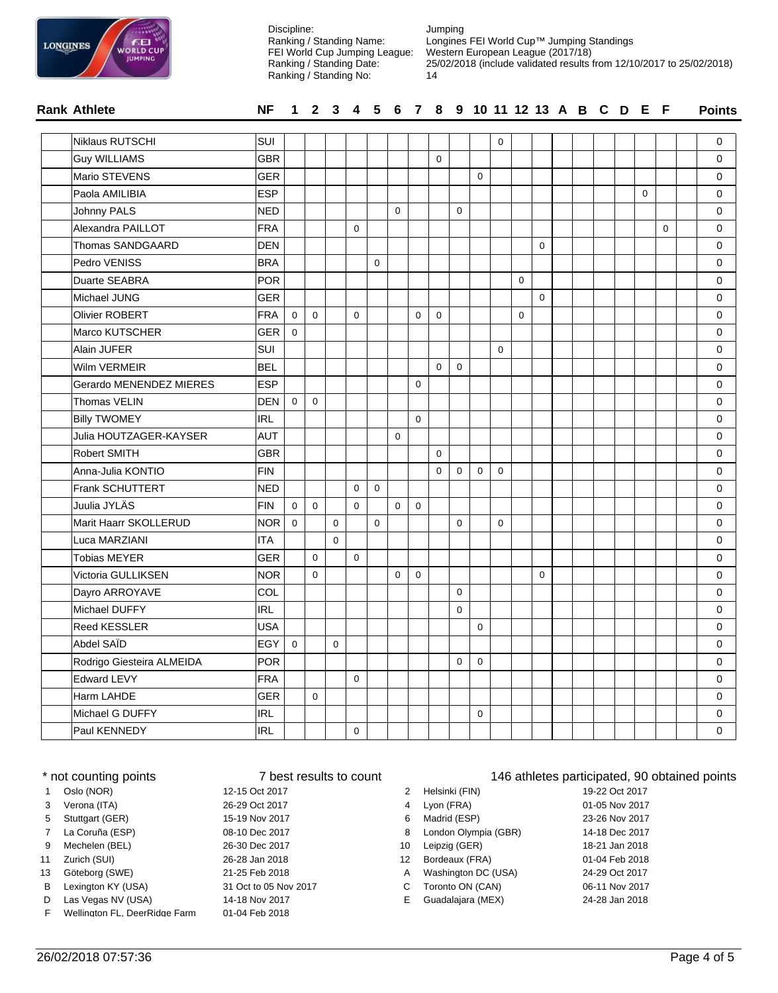| <b>LONGINES</b> | ÆΕ<br><b>WORLD CUP</b><br><b>JUMPING</b> |
|-----------------|------------------------------------------|
|                 |                                          |

| <b>WORLD CUP</b><br><b>JUMPING</b> |            |                |              |             | FEI World Cup Jumping League:<br>Ranking / Standing Date:<br>Ranking / Standing No: |             |             |                  | 14          |             | Western European League (2017/18) |             |             |             |  |                                   |             |             | 25/02/2018 (include validated results from 12/10/2017 to 25/02/2018) |
|------------------------------------|------------|----------------|--------------|-------------|-------------------------------------------------------------------------------------|-------------|-------------|------------------|-------------|-------------|-----------------------------------|-------------|-------------|-------------|--|-----------------------------------|-------------|-------------|----------------------------------------------------------------------|
| <b>Rank Athlete</b>                | <b>NF</b>  | 1              | $\mathbf{2}$ | 3           | 4                                                                                   |             |             |                  |             |             |                                   |             |             |             |  | 5 6 7 8 9 10 11 12 13 A B C D E F |             |             | <b>Points</b>                                                        |
| Niklaus RUTSCHI                    | <b>SUI</b> |                |              |             |                                                                                     |             |             |                  |             |             |                                   | $\mathbf 0$ |             |             |  |                                   |             |             | 0                                                                    |
| <b>Guy WILLIAMS</b>                | <b>GBR</b> |                |              |             |                                                                                     |             |             |                  | 0           |             |                                   |             |             |             |  |                                   |             |             | $\mathbf 0$                                                          |
| Mario STEVENS                      | GER        |                |              |             |                                                                                     |             |             |                  |             |             | $\Omega$                          |             |             |             |  |                                   |             |             | 0                                                                    |
| Paola AMILIBIA                     | <b>ESP</b> |                |              |             |                                                                                     |             |             |                  |             |             |                                   |             |             |             |  |                                   | $\mathbf 0$ |             | 0                                                                    |
| Johnny PALS                        | <b>NED</b> |                |              |             |                                                                                     |             | $\mathbf 0$ |                  |             | $\mathbf 0$ |                                   |             |             |             |  |                                   |             |             | 0                                                                    |
| Alexandra PAILLOT                  | FRA        |                |              |             | $\mathbf 0$                                                                         |             |             |                  |             |             |                                   |             |             |             |  |                                   |             | $\mathbf 0$ | 0                                                                    |
| Thomas SANDGAARD                   | DEN        |                |              |             |                                                                                     |             |             |                  |             |             |                                   |             |             | 0           |  |                                   |             |             | 0                                                                    |
| Pedro VENISS                       | <b>BRA</b> |                |              |             |                                                                                     | 0           |             |                  |             |             |                                   |             |             |             |  |                                   |             |             | 0                                                                    |
| Duarte SEABRA                      | <b>POR</b> |                |              |             |                                                                                     |             |             |                  |             |             |                                   |             | $\mathbf 0$ |             |  |                                   |             |             | 0                                                                    |
| Michael JUNG                       | GER        |                |              |             |                                                                                     |             |             |                  |             |             |                                   |             |             | $\mathbf 0$ |  |                                   |             |             | 0                                                                    |
| <b>Olivier ROBERT</b>              | FRA        | $\mathbf 0$    | $\Omega$     |             | $\mathbf 0$                                                                         |             |             | $\mathbf 0$      | $\mathbf 0$ |             |                                   |             | $\Omega$    |             |  |                                   |             |             | 0                                                                    |
| Marco KUTSCHER                     | GER        | $\mathbf 0$    |              |             |                                                                                     |             |             |                  |             |             |                                   |             |             |             |  |                                   |             |             | 0                                                                    |
| Alain JUFER                        | SUI        |                |              |             |                                                                                     |             |             |                  |             |             |                                   | 0           |             |             |  |                                   |             |             | 0                                                                    |
| Wilm VERMEIR                       | <b>BEL</b> |                |              |             |                                                                                     |             |             |                  | $\mathbf 0$ | $\mathbf 0$ |                                   |             |             |             |  |                                   |             |             | 0                                                                    |
| Gerardo MENENDEZ MIERES            | <b>ESP</b> |                |              |             |                                                                                     |             |             | $\mathbf 0$      |             |             |                                   |             |             |             |  |                                   |             |             | $\mathbf 0$                                                          |
| Thomas VELIN                       | <b>DEN</b> | $\mathbf 0$    | $\mathbf 0$  |             |                                                                                     |             |             |                  |             |             |                                   |             |             |             |  |                                   |             |             | $\mathbf 0$                                                          |
| <b>Billy TWOMEY</b>                | IRL        |                |              |             |                                                                                     |             |             | $\mathbf 0$      |             |             |                                   |             |             |             |  |                                   |             |             | 0                                                                    |
| Julia HOUTZAGER-KAYSER             | <b>AUT</b> |                |              |             |                                                                                     |             | $\mathbf 0$ |                  |             |             |                                   |             |             |             |  |                                   |             |             | 0                                                                    |
| <b>Robert SMITH</b>                | <b>GBR</b> |                |              |             |                                                                                     |             |             |                  | $\mathbf 0$ |             |                                   |             |             |             |  |                                   |             |             | 0                                                                    |
| Anna-Julia KONTIO                  | FIN        |                |              |             |                                                                                     |             |             |                  | $\mathbf 0$ | $\mathbf 0$ | $\mathbf 0$                       | $\mathbf 0$ |             |             |  |                                   |             |             | 0                                                                    |
| <b>Frank SCHUTTERT</b>             | <b>NED</b> |                |              |             | $\mathbf 0$                                                                         | $\mathbf 0$ |             |                  |             |             |                                   |             |             |             |  |                                   |             |             | 0                                                                    |
| Juulia JYLÄS                       | <b>FIN</b> | $\mathbf 0$    | $\mathbf 0$  |             | $\mathbf 0$                                                                         |             | $\mathbf 0$ | $\mathbf 0$      |             |             |                                   |             |             |             |  |                                   |             |             | 0                                                                    |
| Marit Haarr SKOLLERUD              | <b>NOR</b> | $\mathbf 0$    |              | $\mathbf 0$ |                                                                                     | $\mathbf 0$ |             |                  |             | $\mathbf 0$ |                                   | $\mathbf 0$ |             |             |  |                                   |             |             | 0                                                                    |
| Luca MARZIANI                      | IITA       |                |              | $\Omega$    |                                                                                     |             |             |                  |             |             |                                   |             |             |             |  |                                   |             |             | 0                                                                    |
| <b>Tobias MEYER</b>                | GER        |                | $\Omega$     |             | $\mathbf 0$                                                                         |             |             |                  |             |             |                                   |             |             |             |  |                                   |             |             | $\mathbf 0$                                                          |
| Victoria GULLIKSEN                 | <b>NOR</b> |                | $\Omega$     |             |                                                                                     |             | $\mathbf 0$ | $\boldsymbol{0}$ |             |             |                                   |             |             | $\mathbf 0$ |  |                                   |             |             | 0                                                                    |
| Dayro ARROYAVE                     | <b>COL</b> |                |              |             |                                                                                     |             |             |                  |             | $\mathbf 0$ |                                   |             |             |             |  |                                   |             |             | 0                                                                    |
| Michael DUFFY                      | IRL        |                |              |             |                                                                                     |             |             |                  |             | 0           |                                   |             |             |             |  |                                   |             |             | 0                                                                    |
| <b>Reed KESSLER</b>                | <b>USA</b> |                |              |             |                                                                                     |             |             |                  |             |             | $\mathbf 0$                       |             |             |             |  |                                   |             |             | 0                                                                    |
| Abdel SAID                         | EGY        | $\overline{0}$ |              | $\mathbf 0$ |                                                                                     |             |             |                  |             |             |                                   |             |             |             |  |                                   |             |             | 0                                                                    |
| Rodrigo Giesteira ALMEIDA          | POR        |                |              |             |                                                                                     |             |             |                  |             | 0           | $\mathbf 0$                       |             |             |             |  |                                   |             |             | 0                                                                    |
| Edward LEVY                        | FRA        |                |              |             | $\mathbf 0$                                                                         |             |             |                  |             |             |                                   |             |             |             |  |                                   |             |             | 0                                                                    |
| Harm LAHDE                         | GER        |                | 0            |             |                                                                                     |             |             |                  |             |             |                                   |             |             |             |  |                                   |             |             | $\mathbf 0$                                                          |
| Michael G DUFFY                    | <b>IRL</b> |                |              |             |                                                                                     |             |             |                  |             |             | $\mathsf 0$                       |             |             |             |  |                                   |             |             | 0                                                                    |
| Paul KENNEDY                       | <b>IRL</b> |                |              |             | $\mathbf 0$                                                                         |             |             |                  |             |             |                                   |             |             |             |  |                                   |             |             | $\mathbf{0}$                                                         |

Jumping

Discipline:

Ranking / Standing Name:

Longines FEI World Cup™ Jumping Standings

| * not counting points |                               | 7 best results to count |    | 146 athletes participated, 90 |                |  |  |  |
|-----------------------|-------------------------------|-------------------------|----|-------------------------------|----------------|--|--|--|
| $\mathbf{1}$          | Oslo (NOR)                    | 12-15 Oct 2017          |    | Helsinki (FIN)                | 19-22 Oct 2017 |  |  |  |
| 3                     | Verona (ITA)                  | 26-29 Oct 2017          | 4  | Lyon (FRA)                    | 01-05 Nov 2017 |  |  |  |
| 5                     | Stuttgart (GER)               | 15-19 Nov 2017          | 6  | Madrid (ESP)                  | 23-26 Nov 2017 |  |  |  |
| $7^{\circ}$           | La Coruña (ESP)               | 08-10 Dec 2017          | 8  | London Olympia (GBR)          | 14-18 Dec 2017 |  |  |  |
| 9                     | Mechelen (BEL)                | 26-30 Dec 2017          | 10 | Leipzig (GER)                 | 18-21 Jan 2018 |  |  |  |
| 11                    | Zurich (SUI)                  | 26-28 Jan 2018          | 12 | Bordeaux (FRA)                | 01-04 Feb 2018 |  |  |  |
| 13                    | Göteborg (SWE)                | 21-25 Feb 2018          | A  | Washington DC (USA)           | 24-29 Oct 2017 |  |  |  |
| B                     | Lexington KY (USA)            | 31 Oct to 05 Nov 2017   | C. | Toronto ON (CAN)              | 06-11 Nov 2017 |  |  |  |
| D                     | Las Vegas NV (USA)            | 14-18 Nov 2017          | E. | Guadalajara (MEX)             | 24-28 Jan 2018 |  |  |  |
| F.                    | Wellington FL, DeerRidge Farm | 01-04 Feb 2018          |    |                               |                |  |  |  |

## 146 athletes participated, 90 obtained points

| 2 | Helsinki (FIN)       | 19-22 Oct 2017 |
|---|----------------------|----------------|
| 4 | Lyon (FRA)           | 01-05 Nov 2017 |
| 6 | Madrid (ESP)         | 23-26 Nov 2017 |
| 8 | London Olympia (GBR) | 14-18 Dec 2017 |
| 0 | Leipzig (GER)        | 18-21 Jan 2018 |
| 2 | Bordeaux (FRA)       | 01-04 Feb 2018 |
| Ą | Washington DC (USA)  | 24-29 Oct 2017 |
| С | Toronto ON (CAN)     | 06-11 Nov 2017 |
| F | Guadalajara (MFX)    | 24-28 Jan 2018 |